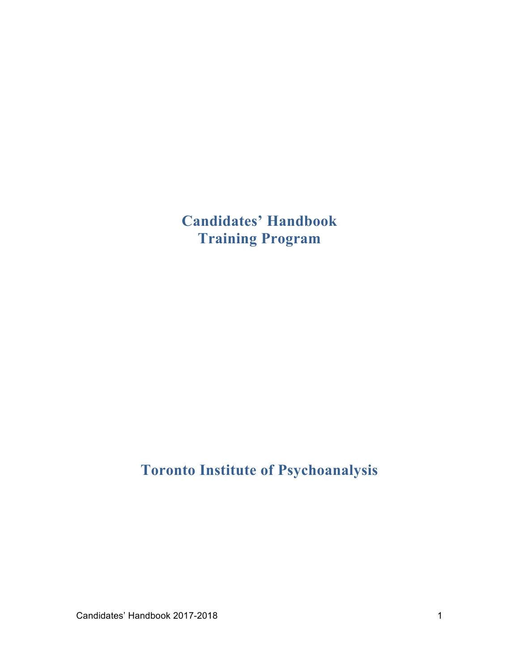**Candidates' Handbook Training Program** 

# **Toronto Institute of Psychoanalysis**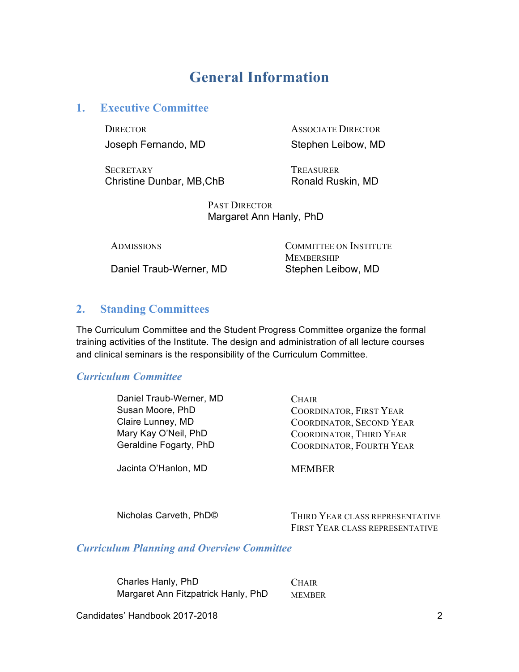## **General Information**

## **1. Executive Committee**

DIRECTOR ASSOCIATE DIRECTOR Joseph Fernando, MD Stephen Leibow, MD

SECRETARY TREASURER Christine Dunbar, MB, ChB Ronald Ruskin, MD

PAST DIRECTOR Margaret Ann Hanly, PhD

Daniel Traub-Werner, MD Stephen Leibow, MD

ADMISSIONS COMMITTEE ON INSTITUTE **MEMBERSHIP** 

## **2. Standing Committees**

The Curriculum Committee and the Student Progress Committee organize the formal training activities of the Institute. The design and administration of all lecture courses and clinical seminars is the responsibility of the Curriculum Committee.

#### *Curriculum Committee*

Daniel Traub-Werner, MD CHAIR

Jacinta O'Hanlon, MD MEMBER

Susan Moore, PhD COORDINATOR, FIRST YEAR Claire Lunney, MD COORDINATOR, SECOND YEAR Mary Kay O'Neil, PhD COORDINATOR, THIRD YEAR Geraldine Fogarty, PhD COORDINATOR, FOURTH YEAR

Nicholas Carveth, PhD© THIRD YEAR CLASS REPRESENTATIVE FIRST YEAR CLASS REPRESENTATIVE

#### *Curriculum Planning and Overview Committee*

Charles Hanly, PhD CHAIR Margaret Ann Fitzpatrick Hanly, PhD MEMBER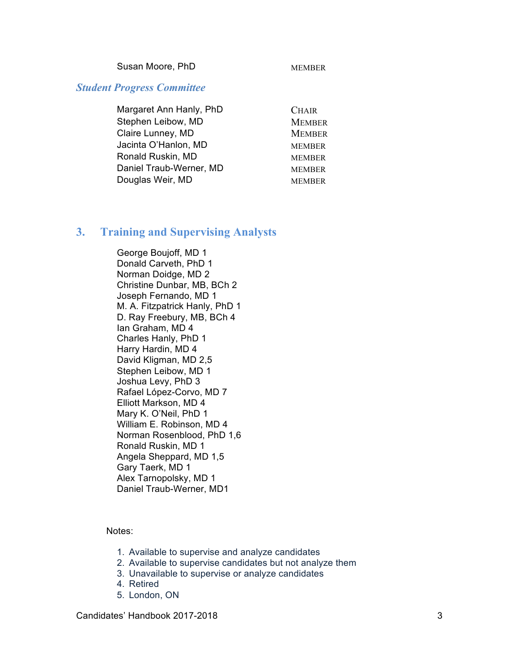Susan Moore, PhD MEMBER

#### *Student Progress Committee*

| Margaret Ann Hanly, PhD | <b>CHAIR</b>  |
|-------------------------|---------------|
| Stephen Leibow, MD      | <b>MEMBER</b> |
| Claire Lunney, MD       | <b>MEMBER</b> |
| Jacinta O'Hanlon, MD    | <b>MEMBER</b> |
| Ronald Ruskin, MD       | <b>MEMBER</b> |
| Daniel Traub-Werner, MD | <b>MEMBER</b> |
| Douglas Weir, MD        | <b>MEMBER</b> |

## **3. Training and Supervising Analysts**

George Boujoff, MD 1 Donald Carveth, PhD 1 Norman Doidge, MD 2 Christine Dunbar, MB, BCh 2 Joseph Fernando, MD 1 M. A. Fitzpatrick Hanly, PhD 1 D. Ray Freebury, MB, BCh 4 Ian Graham, MD 4 Charles Hanly, PhD 1 Harry Hardin, MD 4 David Kligman, MD 2,5 Stephen Leibow, MD 1 Joshua Levy, PhD 3 Rafael López-Corvo, MD 7 Elliott Markson, MD 4 Mary K. O'Neil, PhD 1 William E. Robinson, MD 4 Norman Rosenblood, PhD 1,6 Ronald Ruskin, MD 1 Angela Sheppard, MD 1,5 Gary Taerk, MD 1 Alex Tarnopolsky, MD 1 Daniel Traub-Werner, MD1

Notes:

- 1. Available to supervise and analyze candidates
- 2. Available to supervise candidates but not analyze them
- 3. Unavailable to supervise or analyze candidates
- 4. Retired
- 5. London, ON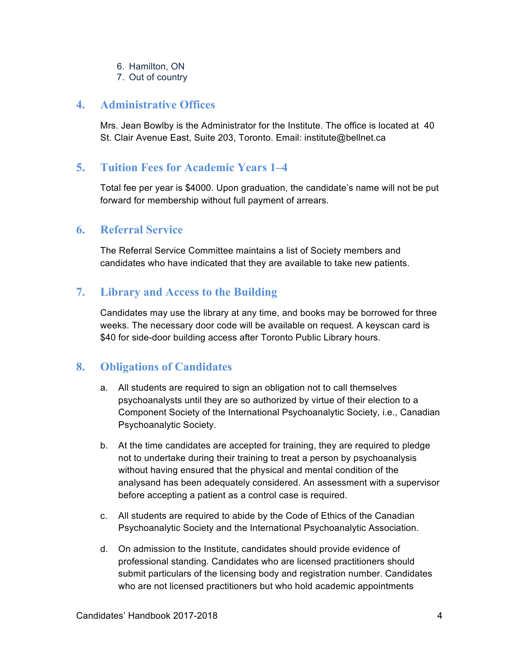- 6. Hamilton, ON
- 7. Out of country

#### **4. Administrative Offices**

Mrs. Jean Bowlby is the Administrator for the Institute. The office is located at 40 St. Clair Avenue East, Suite 203, Toronto. Email: institute@bellnet.ca

## **5. Tuition Fees for Academic Years 1–4**

Total fee per year is \$4000. Upon graduation, the candidate's name will not be put forward for membership without full payment of arrears.

#### **6. Referral Service**

The Referral Service Committee maintains a list of Society members and candidates who have indicated that they are available to take new patients.

## **7. Library and Access to the Building**

Candidates may use the library at any time, and books may be borrowed for three weeks. The necessary door code will be available on request. A keyscan card is \$40 for side-door building access after Toronto Public Library hours.

#### **8. Obligations of Candidates**

- a. All students are required to sign an obligation not to call themselves psychoanalysts until they are so authorized by virtue of their election to a Component Society of the International Psychoanalytic Society, i.e., Canadian Psychoanalytic Society.
- b. At the time candidates are accepted for training, they are required to pledge not to undertake during their training to treat a person by psychoanalysis without having ensured that the physical and mental condition of the analysand has been adequately considered. An assessment with a supervisor before accepting a patient as a control case is required.
- c. All students are required to abide by the Code of Ethics of the Canadian Psychoanalytic Society and the International Psychoanalytic Association.
- d. On admission to the Institute, candidates should provide evidence of professional standing. Candidates who are licensed practitioners should submit particulars of the licensing body and registration number. Candidates who are not licensed practitioners but who hold academic appointments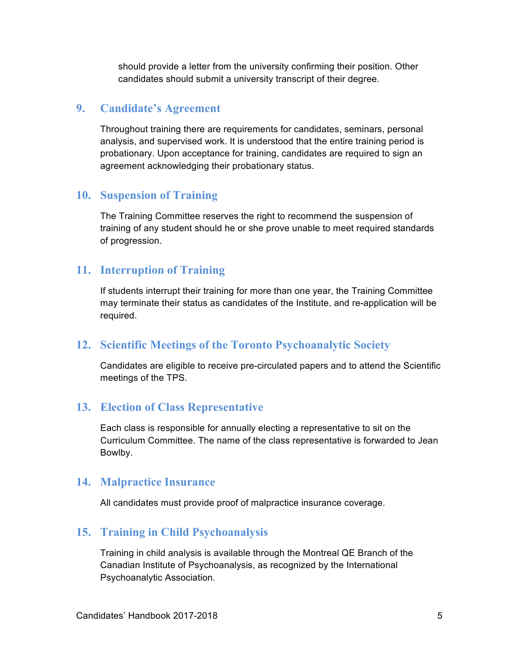should provide a letter from the university confirming their position. Other candidates should submit a university transcript of their degree.

## **9. Candidate's Agreement**

Throughout training there are requirements for candidates, seminars, personal analysis, and supervised work. It is understood that the entire training period is probationary. Upon acceptance for training, candidates are required to sign an agreement acknowledging their probationary status.

## **10. Suspension of Training**

The Training Committee reserves the right to recommend the suspension of training of any student should he or she prove unable to meet required standards of progression.

## **11. Interruption of Training**

If students interrupt their training for more than one year, the Training Committee may terminate their status as candidates of the Institute, and re-application will be required.

## **12. Scientific Meetings of the Toronto Psychoanalytic Society**

Candidates are eligible to receive pre-circulated papers and to attend the Scientific meetings of the TPS.

## **13. Election of Class Representative**

Each class is responsible for annually electing a representative to sit on the Curriculum Committee. The name of the class representative is forwarded to Jean Bowlby.

#### **14. Malpractice Insurance**

All candidates must provide proof of malpractice insurance coverage.

## **15. Training in Child Psychoanalysis**

Training in child analysis is available through the Montreal QE Branch of the Canadian Institute of Psychoanalysis, as recognized by the International Psychoanalytic Association.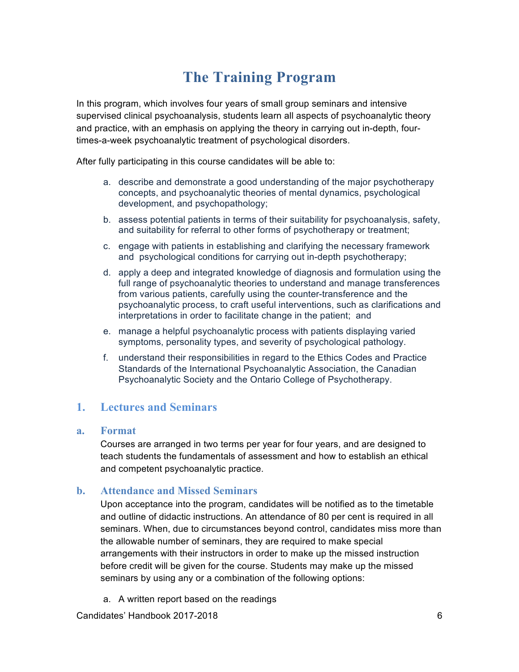# **The Training Program**

In this program, which involves four years of small group seminars and intensive supervised clinical psychoanalysis, students learn all aspects of psychoanalytic theory and practice, with an emphasis on applying the theory in carrying out in-depth, fourtimes-a-week psychoanalytic treatment of psychological disorders.

After fully participating in this course candidates will be able to:

- a. describe and demonstrate a good understanding of the major psychotherapy concepts, and psychoanalytic theories of mental dynamics, psychological development, and psychopathology;
- b. assess potential patients in terms of their suitability for psychoanalysis, safety, and suitability for referral to other forms of psychotherapy or treatment;
- c. engage with patients in establishing and clarifying the necessary framework and psychological conditions for carrying out in-depth psychotherapy;
- d. apply a deep and integrated knowledge of diagnosis and formulation using the full range of psychoanalytic theories to understand and manage transferences from various patients, carefully using the counter-transference and the psychoanalytic process, to craft useful interventions, such as clarifications and interpretations in order to facilitate change in the patient; and
- e. manage a helpful psychoanalytic process with patients displaying varied symptoms, personality types, and severity of psychological pathology.
- f. understand their responsibilities in regard to the Ethics Codes and Practice Standards of the International Psychoanalytic Association, the Canadian Psychoanalytic Society and the Ontario College of Psychotherapy.

## **1. Lectures and Seminars**

#### **a. Format**

Courses are arranged in two terms per year for four years, and are designed to teach students the fundamentals of assessment and how to establish an ethical and competent psychoanalytic practice.

#### **b. Attendance and Missed Seminars**

Upon acceptance into the program, candidates will be notified as to the timetable and outline of didactic instructions. An attendance of 80 per cent is required in all seminars. When, due to circumstances beyond control, candidates miss more than the allowable number of seminars, they are required to make special arrangements with their instructors in order to make up the missed instruction before credit will be given for the course. Students may make up the missed seminars by using any or a combination of the following options:

a. A written report based on the readings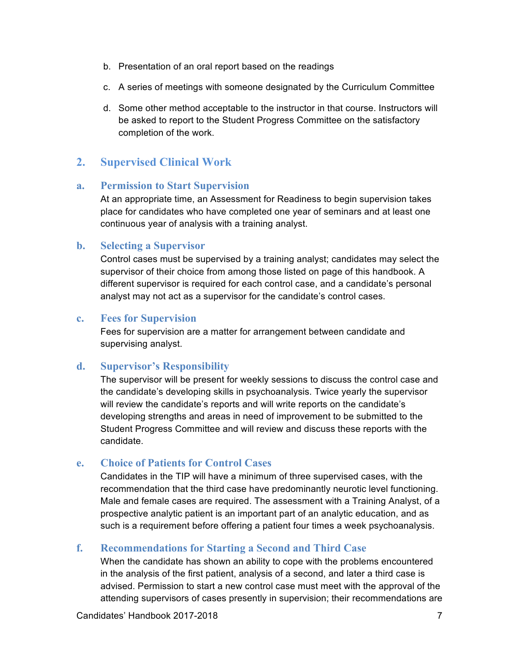- b. Presentation of an oral report based on the readings
- c. A series of meetings with someone designated by the Curriculum Committee
- d. Some other method acceptable to the instructor in that course. Instructors will be asked to report to the Student Progress Committee on the satisfactory completion of the work.

## **2. Supervised Clinical Work**

#### **a. Permission to Start Supervision**

At an appropriate time, an Assessment for Readiness to begin supervision takes place for candidates who have completed one year of seminars and at least one continuous year of analysis with a training analyst.

#### **b. Selecting a Supervisor**

Control cases must be supervised by a training analyst; candidates may select the supervisor of their choice from among those listed on page of this handbook. A different supervisor is required for each control case, and a candidate's personal analyst may not act as a supervisor for the candidate's control cases.

#### **c. Fees for Supervision**

Fees for supervision are a matter for arrangement between candidate and supervising analyst.

#### **d. Supervisor's Responsibility**

The supervisor will be present for weekly sessions to discuss the control case and the candidate's developing skills in psychoanalysis. Twice yearly the supervisor will review the candidate's reports and will write reports on the candidate's developing strengths and areas in need of improvement to be submitted to the Student Progress Committee and will review and discuss these reports with the candidate.

#### **e. Choice of Patients for Control Cases**

Candidates in the TIP will have a minimum of three supervised cases, with the recommendation that the third case have predominantly neurotic level functioning. Male and female cases are required. The assessment with a Training Analyst, of a prospective analytic patient is an important part of an analytic education, and as such is a requirement before offering a patient four times a week psychoanalysis.

#### **f. Recommendations for Starting a Second and Third Case**

When the candidate has shown an ability to cope with the problems encountered in the analysis of the first patient, analysis of a second, and later a third case is advised. Permission to start a new control case must meet with the approval of the attending supervisors of cases presently in supervision; their recommendations are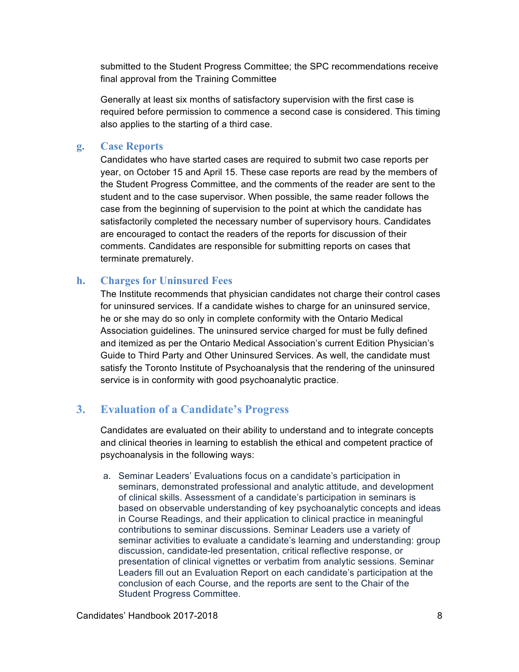submitted to the Student Progress Committee; the SPC recommendations receive final approval from the Training Committee

Generally at least six months of satisfactory supervision with the first case is required before permission to commence a second case is considered. This timing also applies to the starting of a third case.

#### **g. Case Reports**

Candidates who have started cases are required to submit two case reports per year, on October 15 and April 15. These case reports are read by the members of the Student Progress Committee, and the comments of the reader are sent to the student and to the case supervisor. When possible, the same reader follows the case from the beginning of supervision to the point at which the candidate has satisfactorily completed the necessary number of supervisory hours. Candidates are encouraged to contact the readers of the reports for discussion of their comments. Candidates are responsible for submitting reports on cases that terminate prematurely.

#### **h. Charges for Uninsured Fees**

The Institute recommends that physician candidates not charge their control cases for uninsured services. If a candidate wishes to charge for an uninsured service, he or she may do so only in complete conformity with the Ontario Medical Association guidelines. The uninsured service charged for must be fully defined and itemized as per the Ontario Medical Association's current Edition Physician's Guide to Third Party and Other Uninsured Services. As well, the candidate must satisfy the Toronto Institute of Psychoanalysis that the rendering of the uninsured service is in conformity with good psychoanalytic practice.

## **3. Evaluation of a Candidate's Progress**

Candidates are evaluated on their ability to understand and to integrate concepts and clinical theories in learning to establish the ethical and competent practice of psychoanalysis in the following ways:

a. Seminar Leaders' Evaluations focus on a candidate's participation in seminars, demonstrated professional and analytic attitude, and development of clinical skills. Assessment of a candidate's participation in seminars is based on observable understanding of key psychoanalytic concepts and ideas in Course Readings, and their application to clinical practice in meaningful contributions to seminar discussions. Seminar Leaders use a variety of seminar activities to evaluate a candidate's learning and understanding: group discussion, candidate-led presentation, critical reflective response, or presentation of clinical vignettes or verbatim from analytic sessions. Seminar Leaders fill out an Evaluation Report on each candidate's participation at the conclusion of each Course, and the reports are sent to the Chair of the Student Progress Committee.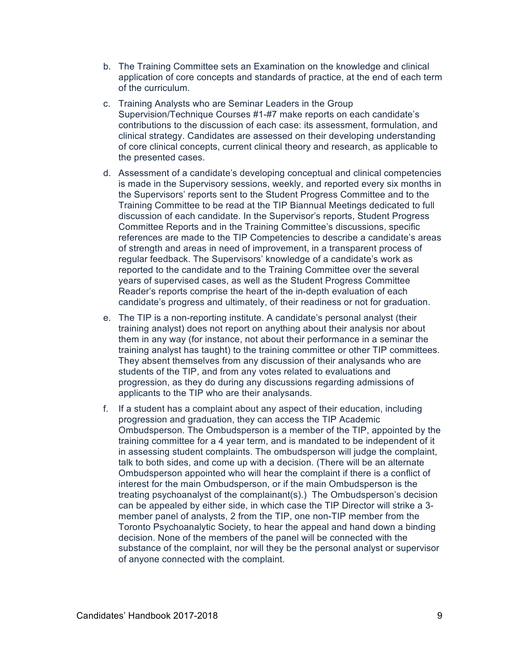- b. The Training Committee sets an Examination on the knowledge and clinical application of core concepts and standards of practice, at the end of each term of the curriculum.
- c. Training Analysts who are Seminar Leaders in the Group Supervision/Technique Courses #1-#7 make reports on each candidate's contributions to the discussion of each case: its assessment, formulation, and clinical strategy. Candidates are assessed on their developing understanding of core clinical concepts, current clinical theory and research, as applicable to the presented cases.
- d. Assessment of a candidate's developing conceptual and clinical competencies is made in the Supervisory sessions, weekly, and reported every six months in the Supervisors' reports sent to the Student Progress Committee and to the Training Committee to be read at the TIP Biannual Meetings dedicated to full discussion of each candidate. In the Supervisor's reports, Student Progress Committee Reports and in the Training Committee's discussions, specific references are made to the TIP Competencies to describe a candidate's areas of strength and areas in need of improvement, in a transparent process of regular feedback. The Supervisors' knowledge of a candidate's work as reported to the candidate and to the Training Committee over the several years of supervised cases, as well as the Student Progress Committee Reader's reports comprise the heart of the in-depth evaluation of each candidate's progress and ultimately, of their readiness or not for graduation.
- e. The TIP is a non-reporting institute. A candidate's personal analyst (their training analyst) does not report on anything about their analysis nor about them in any way (for instance, not about their performance in a seminar the training analyst has taught) to the training committee or other TIP committees. They absent themselves from any discussion of their analysands who are students of the TIP, and from any votes related to evaluations and progression, as they do during any discussions regarding admissions of applicants to the TIP who are their analysands.
- f. If a student has a complaint about any aspect of their education, including progression and graduation, they can access the TIP Academic Ombudsperson. The Ombudsperson is a member of the TIP, appointed by the training committee for a 4 year term, and is mandated to be independent of it in assessing student complaints. The ombudsperson will judge the complaint, talk to both sides, and come up with a decision. (There will be an alternate Ombudsperson appointed who will hear the complaint if there is a conflict of interest for the main Ombudsperson, or if the main Ombudsperson is the treating psychoanalyst of the complainant(s).) The Ombudsperson's decision can be appealed by either side, in which case the TIP Director will strike a 3 member panel of analysts, 2 from the TIP, one non-TIP member from the Toronto Psychoanalytic Society, to hear the appeal and hand down a binding decision. None of the members of the panel will be connected with the substance of the complaint, nor will they be the personal analyst or supervisor of anyone connected with the complaint.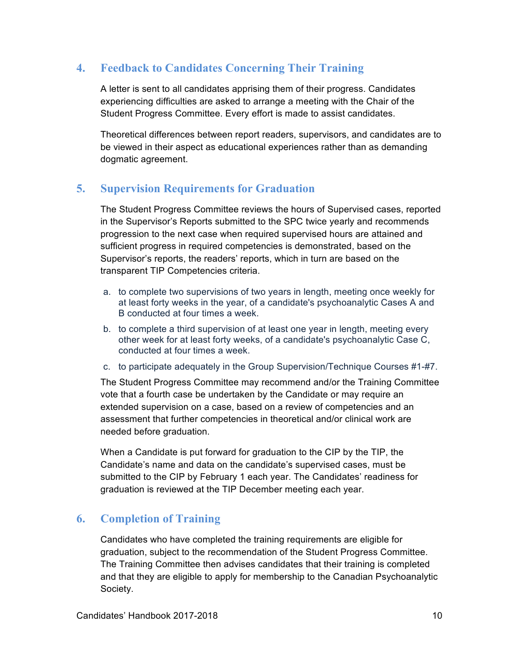## **4. Feedback to Candidates Concerning Their Training**

A letter is sent to all candidates apprising them of their progress. Candidates experiencing difficulties are asked to arrange a meeting with the Chair of the Student Progress Committee. Every effort is made to assist candidates.

Theoretical differences between report readers, supervisors, and candidates are to be viewed in their aspect as educational experiences rather than as demanding dogmatic agreement.

## **5. Supervision Requirements for Graduation**

The Student Progress Committee reviews the hours of Supervised cases, reported in the Supervisor's Reports submitted to the SPC twice yearly and recommends progression to the next case when required supervised hours are attained and sufficient progress in required competencies is demonstrated, based on the Supervisor's reports, the readers' reports, which in turn are based on the transparent TIP Competencies criteria.

- a. to complete two supervisions of two years in length, meeting once weekly for at least forty weeks in the year, of a candidate's psychoanalytic Cases A and B conducted at four times a week.
- b. to complete a third supervision of at least one year in length, meeting every other week for at least forty weeks, of a candidate's psychoanalytic Case C, conducted at four times a week.
- c. to participate adequately in the Group Supervision/Technique Courses #1-#7.

The Student Progress Committee may recommend and/or the Training Committee vote that a fourth case be undertaken by the Candidate or may require an extended supervision on a case, based on a review of competencies and an assessment that further competencies in theoretical and/or clinical work are needed before graduation.

When a Candidate is put forward for graduation to the CIP by the TIP, the Candidate's name and data on the candidate's supervised cases, must be submitted to the CIP by February 1 each year. The Candidates' readiness for graduation is reviewed at the TIP December meeting each year.

## **6. Completion of Training**

Candidates who have completed the training requirements are eligible for graduation, subject to the recommendation of the Student Progress Committee. The Training Committee then advises candidates that their training is completed and that they are eligible to apply for membership to the Canadian Psychoanalytic Society.